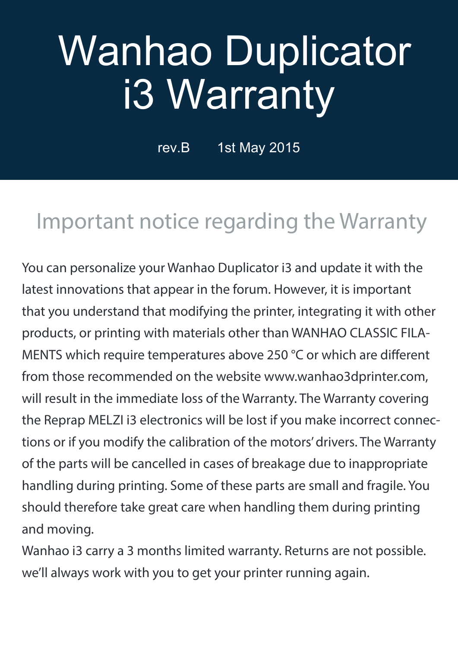# Wanhao Duplicator i3 Warranty

rev.B 1st May 2015

#### Important notice regarding the Warranty

You can personalize your Wanhao Duplicator i3 and update it with the latest innovations that appear in the forum. However, it is important that you understand that modifying the printer, integrating it with other products, or printing with materials other than WANHAO CLASSIC FILA-MENTS which require temperatures above 250 °C or which are different from those recommended on the website www.wanhao3dprinter.com, will result in the immediate loss of the Warranty. The Warranty covering the Reprap MELZI i3 electronics will be lost if you make incorrect connections or if you modify the calibration of the motors' drivers. The Warranty of the parts will be cancelled in cases of breakage due to inappropriate handling during printing. Some of these parts are small and fragile. You should therefore take great care when handling them during printing and moving.

Wanhao i3 carry a 3 months limited warranty. Returns are not possible. we'll always work with you to get your printer running again.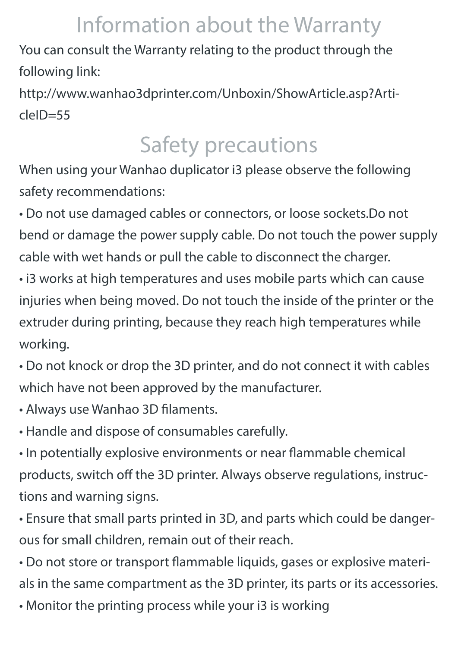## Information about the Warranty

You can consult the Warranty relating to the product through the following link:

http://www.wanhao3dprinter.com/Unboxin/ShowArticle.asp?ArticleID=55

## Safety precautions

When using your Wanhao duplicator i3 please observe the following safety recommendations:

• Do not use damaged cables or connectors, or loose sockets.Do not bend or damage the power supply cable. Do not touch the power supply cable with wet hands or pull the cable to disconnect the charger.

• i3 works at high temperatures and uses mobile parts which can cause injuries when being moved. Do not touch the inside of the printer or the extruder during printing, because they reach high temperatures while working.

• Do not knock or drop the 3D printer, and do not connect it with cables which have not been approved by the manufacturer.

- Always use Wanhao 3D filaments.
- Handle and dispose of consumables carefully.

• In potentially explosive environments or near flammable chemical products, switch off the 3D printer. Always observe regulations, instructions and warning signs.

• Ensure that small parts printed in 3D, and parts which could be dangerous for small children, remain out of their reach.

• Do not store or transport flammable liquids, gases or explosive materials in the same compartment as the 3D printer, its parts or its accessories.

• Monitor the printing process while your i3 is working